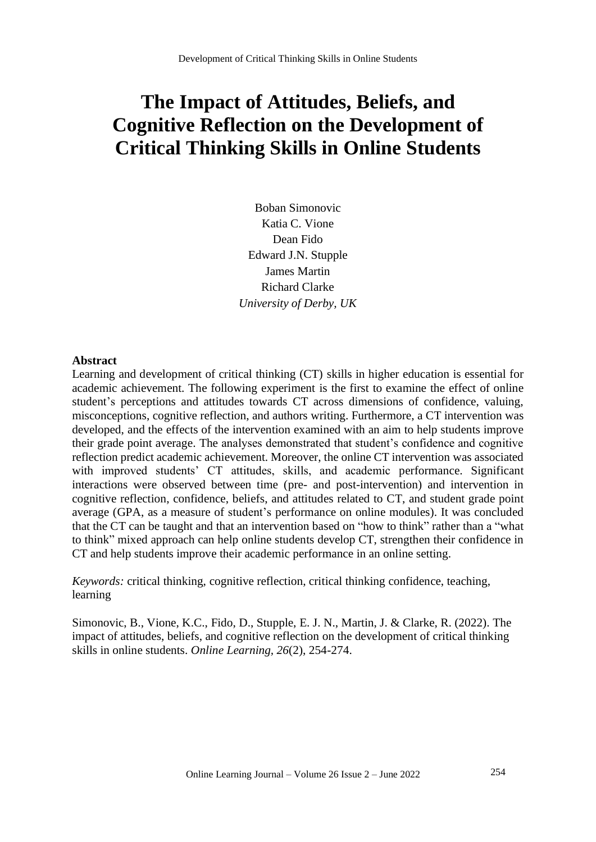# **The Impact of Attitudes, Beliefs, and Cognitive Reflection on the Development of Critical Thinking Skills in Online Students**

Boban Simonovic Katia C. Vione Dean Fido Edward J.N. Stupple James Martin Richard Clarke *University of Derby, UK*

#### **Abstract**

Learning and development of critical thinking (CT) skills in higher education is essential for academic achievement. The following experiment is the first to examine the effect of online student's perceptions and attitudes towards CT across dimensions of confidence, valuing, misconceptions, cognitive reflection, and authors writing. Furthermore, a CT intervention was developed, and the effects of the intervention examined with an aim to help students improve their grade point average. The analyses demonstrated that student's confidence and cognitive reflection predict academic achievement. Moreover, the online CT intervention was associated with improved students' CT attitudes, skills, and academic performance. Significant interactions were observed between time (pre- and post-intervention) and intervention in cognitive reflection, confidence, beliefs, and attitudes related to CT, and student grade point average (GPA, as a measure of student's performance on online modules). It was concluded that the CT can be taught and that an intervention based on "how to think" rather than a "what to think" mixed approach can help online students develop CT, strengthen their confidence in CT and help students improve their academic performance in an online setting.

*Keywords:* critical thinking, cognitive reflection, critical thinking confidence, teaching, learning

Simonovic, B., Vione, K.C., Fido, D., Stupple, E. J. N., Martin, J. & Clarke, R. (2022). The impact of attitudes, beliefs, and cognitive reflection on the development of critical thinking skills in online students. *Online Learning, 26*(2), 254-274.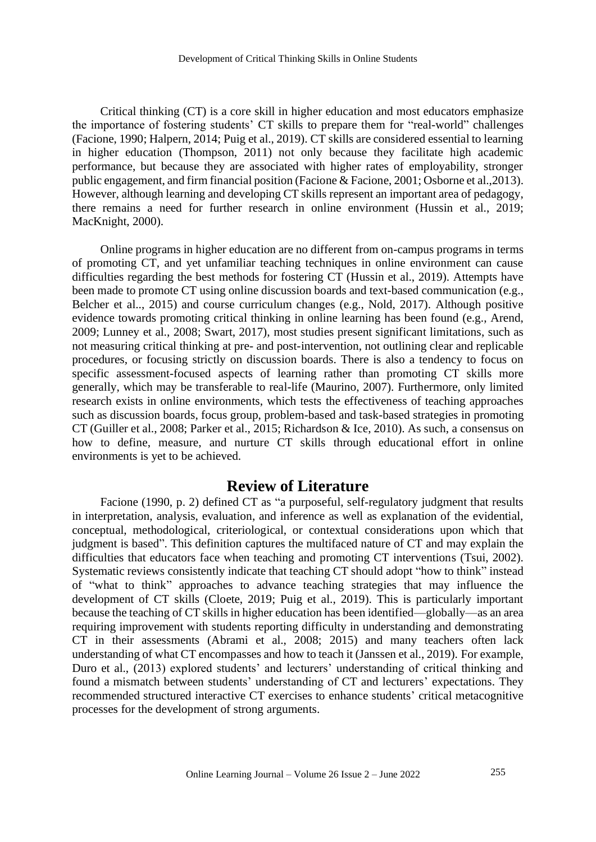Critical thinking (CT) is a core skill in higher education and most educators emphasize the importance of fostering students' CT skills to prepare them for "real-world" challenges (Facione, 1990; Halpern, 2014; Puig et al., 2019). CT skills are considered essential to learning in higher education (Thompson, 2011) not only because they facilitate high academic performance, but because they are associated with higher rates of employability, stronger public engagement, and firm financial position (Facione & Facione, 2001; Osborne et al.,2013). However, although learning and developing CT skills represent an important area of pedagogy, there remains a need for further research in online environment (Hussin et al., 2019; MacKnight, 2000).

Online programs in higher education are no different from on-campus programs in terms of promoting CT, and yet unfamiliar teaching techniques in online environment can cause difficulties regarding the best methods for fostering CT (Hussin et al., 2019). Attempts have been made to promote CT using online discussion boards and text-based communication (e.g., Belcher et al.., 2015) and course curriculum changes (e.g., Nold, 2017). Although positive evidence towards promoting critical thinking in online learning has been found (e.g., Arend, 2009; Lunney et al., 2008; Swart, 2017), most studies present significant limitations, such as not measuring critical thinking at pre- and post-intervention, not outlining clear and replicable procedures, or focusing strictly on discussion boards. There is also a tendency to focus on specific assessment-focused aspects of learning rather than promoting CT skills more generally, which may be transferable to real-life (Maurino, 2007). Furthermore, only limited research exists in online environments, which tests the effectiveness of teaching approaches such as discussion boards, focus group, problem-based and task-based strategies in promoting CT (Guiller et al., 2008; Parker et al., 2015; Richardson & Ice, 2010). As such, a consensus on how to define, measure, and nurture CT skills through educational effort in online environments is yet to be achieved.

## **Review of Literature**

Facione (1990, p. 2) defined CT as "a purposeful, self-regulatory judgment that results in interpretation, analysis, evaluation, and inference as well as explanation of the evidential, conceptual, methodological, criteriological, or contextual considerations upon which that judgment is based". This definition captures the multifaced nature of CT and may explain the difficulties that educators face when teaching and promoting CT interventions (Tsui, 2002). Systematic reviews consistently indicate that teaching CT should adopt "how to think" instead of "what to think" approaches to advance teaching strategies that may influence the development of CT skills (Cloete, 2019; Puig et al., 2019). This is particularly important because the teaching of CT skills in higher education has been identified—globally—as an area requiring improvement with students reporting difficulty in understanding and demonstrating CT in their assessments (Abrami et al., 2008; 2015) and many teachers often lack understanding of what CT encompasses and how to teach it (Janssen et al., 2019). For example, Duro et al., (2013) explored students' and lecturers' understanding of critical thinking and found a mismatch between students' understanding of CT and lecturers' expectations. They recommended structured interactive CT exercises to enhance students' critical metacognitive processes for the development of strong arguments.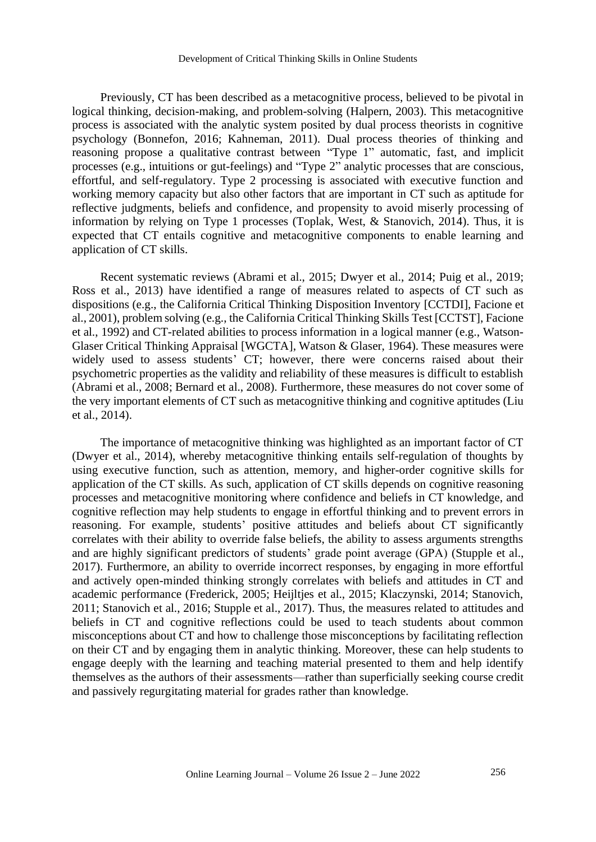Previously, CT has been described as a metacognitive process, believed to be pivotal in logical thinking, decision-making, and problem-solving (Halpern, 2003). This metacognitive process is associated with the analytic system posited by dual process theorists in cognitive psychology (Bonnefon, 2016; Kahneman, 2011). Dual process theories of thinking and reasoning propose a qualitative contrast between "Type 1" automatic, fast, and implicit processes (e.g., intuitions or gut-feelings) and "Type 2" analytic processes that are conscious, effortful, and self-regulatory. Type 2 processing is associated with executive function and working memory capacity but also other factors that are important in CT such as aptitude for reflective judgments, beliefs and confidence, and propensity to avoid miserly processing of information by relying on Type 1 processes (Toplak, West, & Stanovich, 2014). Thus, it is expected that CT entails cognitive and metacognitive components to enable learning and application of CT skills.

Recent systematic reviews (Abrami et al., 2015; Dwyer et al., 2014; Puig et al., 2019; Ross et al., 2013) have identified a range of measures related to aspects of CT such as dispositions (e.g., the California Critical Thinking Disposition Inventory [CCTDI], Facione et al., 2001), problem solving (e.g., the California Critical Thinking Skills Test [CCTST], Facione et al., 1992) and CT-related abilities to process information in a logical manner (e.g., Watson-Glaser Critical Thinking Appraisal [WGCTA], Watson & Glaser, 1964). These measures were widely used to assess students' CT; however, there were concerns raised about their psychometric properties as the validity and reliability of these measures is difficult to establish (Abrami et al., 2008; Bernard et al., 2008). Furthermore, these measures do not cover some of the very important elements of CT such as metacognitive thinking and cognitive aptitudes (Liu et al., 2014).

The importance of metacognitive thinking was highlighted as an important factor of CT (Dwyer et al., 2014), whereby metacognitive thinking entails self-regulation of thoughts by using executive function, such as attention, memory, and higher-order cognitive skills for application of the CT skills. As such, application of CT skills depends on cognitive reasoning processes and metacognitive monitoring where confidence and beliefs in CT knowledge, and cognitive reflection may help students to engage in effortful thinking and to prevent errors in reasoning. For example, students' positive attitudes and beliefs about CT significantly correlates with their ability to override false beliefs, the ability to assess arguments strengths and are highly significant predictors of students' grade point average (GPA) (Stupple et al., 2017). Furthermore, an ability to override incorrect responses, by engaging in more effortful and actively open-minded thinking strongly correlates with beliefs and attitudes in CT and academic performance (Frederick, 2005; Heijltjes et al., 2015; Klaczynski, 2014; Stanovich, 2011; Stanovich et al., 2016; Stupple et al., 2017). Thus, the measures related to attitudes and beliefs in CT and cognitive reflections could be used to teach students about common misconceptions about CT and how to challenge those misconceptions by facilitating reflection on their CT and by engaging them in analytic thinking. Moreover, these can help students to engage deeply with the learning and teaching material presented to them and help identify themselves as the authors of their assessments—rather than superficially seeking course credit and passively regurgitating material for grades rather than knowledge.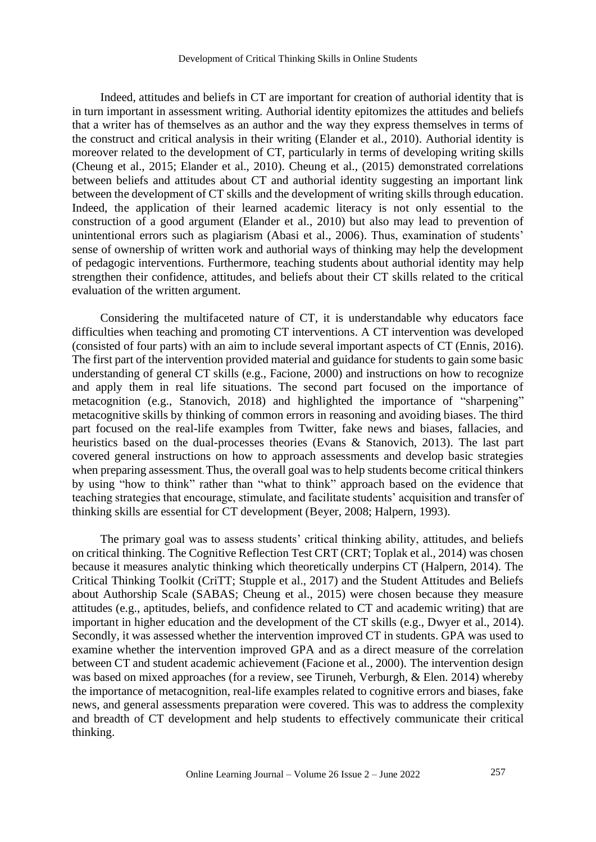Indeed, attitudes and beliefs in CT are important for creation of authorial identity that is in turn important in assessment writing. Authorial identity epitomizes the attitudes and beliefs that a writer has of themselves as an author and the way they express themselves in terms of the construct and critical analysis in their writing (Elander et al., 2010). Authorial identity is moreover related to the development of CT, particularly in terms of developing writing skills (Cheung et al., 2015; Elander et al., 2010). Cheung et al., (2015) demonstrated correlations between beliefs and attitudes about CT and authorial identity suggesting an important link between the development of CT skills and the development of writing skills through education. Indeed, the application of their learned academic literacy is not only essential to the construction of a good argument (Elander et al., 2010) but also may lead to prevention of unintentional errors such as plagiarism (Abasi et al., 2006). Thus, examination of students' sense of ownership of written work and authorial ways of thinking may help the development of pedagogic interventions. Furthermore, teaching students about authorial identity may help strengthen their confidence, attitudes, and beliefs about their CT skills related to the critical evaluation of the written argument.

Considering the multifaceted nature of CT, it is understandable why educators face difficulties when teaching and promoting CT interventions. A CT intervention was developed (consisted of four parts) with an aim to include several important aspects of CT (Ennis, 2016). The first part of the intervention provided material and guidance for students to gain some basic understanding of general CT skills (e.g., Facione, 2000) and instructions on how to recognize and apply them in real life situations. The second part focused on the importance of metacognition (e.g., Stanovich, 2018) and highlighted the importance of "sharpening" metacognitive skills by thinking of common errors in reasoning and avoiding biases. The third part focused on the real-life examples from Twitter, fake news and biases, fallacies, and heuristics based on the dual-processes theories (Evans & Stanovich, 2013). The last part covered general instructions on how to approach assessments and develop basic strategies when preparing assessment. Thus, the overall goal was to help students become critical thinkers by using "how to think" rather than "what to think" approach based on the evidence that teaching strategies that encourage, stimulate, and facilitate students' acquisition and transfer of thinking skills are essential for CT development (Beyer, 2008; Halpern, 1993).

The primary goal was to assess students' critical thinking ability, attitudes, and beliefs on critical thinking. The Cognitive Reflection Test CRT (CRT; Toplak et al., 2014) was chosen because it measures analytic thinking which theoretically underpins CT (Halpern, 2014). The Critical Thinking Toolkit (CriTT; Stupple et al., 2017) and the Student Attitudes and Beliefs about Authorship Scale (SABAS; Cheung et al., 2015) were chosen because they measure attitudes (e.g., aptitudes, beliefs, and confidence related to CT and academic writing) that are important in higher education and the development of the CT skills (e.g., Dwyer et al., 2014). Secondly, it was assessed whether the intervention improved CT in students. GPA was used to examine whether the intervention improved GPA and as a direct measure of the correlation between CT and student academic achievement (Facione et al., 2000). The intervention design was based on mixed approaches (for a review, see Tiruneh, Verburgh, & Elen. 2014) whereby the importance of metacognition, real-life examples related to cognitive errors and biases, fake news, and general assessments preparation were covered. This was to address the complexity and breadth of CT development and help students to effectively communicate their critical thinking.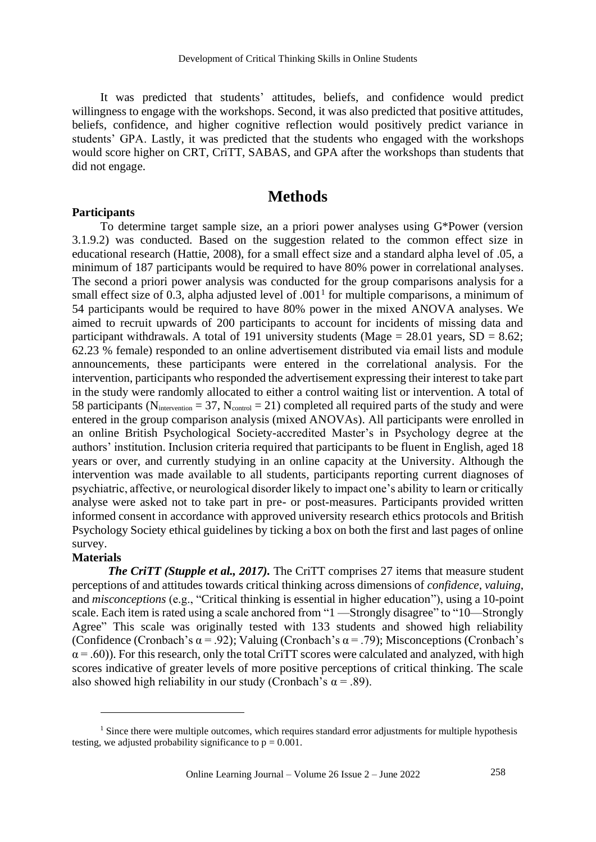It was predicted that students' attitudes, beliefs, and confidence would predict willingness to engage with the workshops. Second, it was also predicted that positive attitudes, beliefs, confidence, and higher cognitive reflection would positively predict variance in students' GPA. Lastly, it was predicted that the students who engaged with the workshops would score higher on CRT, CriTT, SABAS, and GPA after the workshops than students that did not engage.

## **Methods**

### **Participants**

To determine target sample size, an a priori power analyses using G\*Power (version 3.1.9.2) was conducted. Based on the suggestion related to the common effect size in educational research (Hattie, 2008), for a small effect size and a standard alpha level of .05, a minimum of 187 participants would be required to have 80% power in correlational analyses. The second a priori power analysis was conducted for the group comparisons analysis for a small effect size of 0.3, alpha adjusted level of  $.001<sup>1</sup>$  for multiple comparisons, a minimum of 54 participants would be required to have 80% power in the mixed ANOVA analyses. We aimed to recruit upwards of 200 participants to account for incidents of missing data and participant withdrawals. A total of 191 university students (Mage =  $28.01$  years, SD =  $8.62$ ; 62.23 % female) responded to an online advertisement distributed via email lists and module announcements, these participants were entered in the correlational analysis. For the intervention, participants who responded the advertisement expressing their interest to take part in the study were randomly allocated to either a control waiting list or intervention. A total of 58 participants ( $N_{intervention} = 37$ ,  $N_{control} = 21$ ) completed all required parts of the study and were entered in the group comparison analysis (mixed ANOVAs). All participants were enrolled in an online British Psychological Society-accredited Master's in Psychology degree at the authors' institution. Inclusion criteria required that participants to be fluent in English, aged 18 years or over, and currently studying in an online capacity at the University. Although the intervention was made available to all students, participants reporting current diagnoses of psychiatric, affective, or neurological disorder likely to impact one's ability to learn or critically analyse were asked not to take part in pre- or post-measures. Participants provided written informed consent in accordance with approved university research ethics protocols and British Psychology Society ethical guidelines by ticking a box on both the first and last pages of online survey.

### **Materials**

*The CriTT (Stupple et al., 2017).* The CriTT comprises 27 items that measure student perceptions of and attitudes towards critical thinking across dimensions of *confidence*, *valuing*, and *misconceptions* (e.g., "Critical thinking is essential in higher education"), using a 10-point scale. Each item is rated using a scale anchored from "1 —Strongly disagree" to "10—Strongly Agree" This scale was originally tested with 133 students and showed high reliability (Confidence (Cronbach's  $\alpha$  = .92); Valuing (Cronbach's  $\alpha$  = .79); Misconceptions (Cronbach's  $\alpha$  = .60)). For this research, only the total CriTT scores were calculated and analyzed, with high scores indicative of greater levels of more positive perceptions of critical thinking. The scale also showed high reliability in our study (Cronbach's  $\alpha$  = .89).

<sup>&</sup>lt;sup>1</sup> Since there were multiple outcomes, which requires standard error adjustments for multiple hypothesis testing, we adjusted probability significance to  $p = 0.001$ .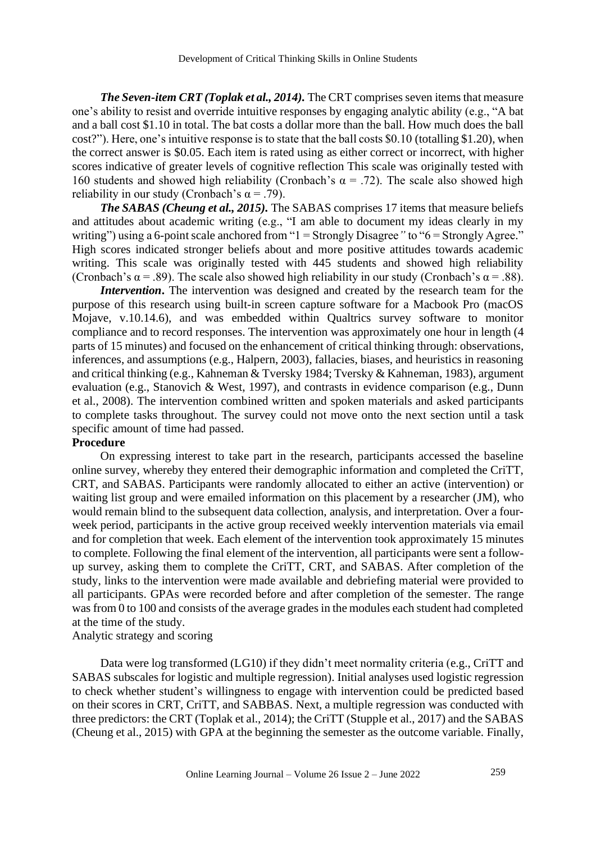*The Seven-item CRT (Toplak et al., 2014).* The CRT comprises seven items that measure one's ability to resist and override intuitive responses by engaging analytic ability (e.g., "A bat and a ball cost \$1.10 in total. The bat costs a dollar more than the ball. How much does the ball cost?"). Here, one's intuitive response is to state that the ball costs \$0.10 (totalling \$1.20), when the correct answer is \$0.05. Each item is rated using as either correct or incorrect, with higher scores indicative of greater levels of cognitive reflection This scale was originally tested with 160 students and showed high reliability (Cronbach's  $\alpha = .72$ ). The scale also showed high reliability in our study (Cronbach's  $\alpha$  = .79).

*The SABAS (Cheung et al., 2015).* The SABAS comprises 17 items that measure beliefs and attitudes about academic writing (e.g., "I am able to document my ideas clearly in my writing") using a 6-point scale anchored from "1 = Strongly Disagree" to "6 = Strongly Agree." High scores indicated stronger beliefs about and more positive attitudes towards academic writing. This scale was originally tested with 445 students and showed high reliability (Cronbach's  $\alpha$  = .89). The scale also showed high reliability in our study (Cronbach's  $\alpha$  = .88).

*Intervention*. The intervention was designed and created by the research team for the purpose of this research using built-in screen capture software for a Macbook Pro (macOS Mojave, v.10.14.6), and was embedded within Qualtrics survey software to monitor compliance and to record responses. The intervention was approximately one hour in length (4 parts of 15 minutes) and focused on the enhancement of critical thinking through: observations, inferences, and assumptions (e.g., Halpern, 2003), fallacies, biases, and heuristics in reasoning and critical thinking (e.g., Kahneman & Tversky 1984; Tversky & Kahneman, 1983), argument evaluation (e.g., Stanovich & West, 1997), and contrasts in evidence comparison (e.g., Dunn et al., 2008). The intervention combined written and spoken materials and asked participants to complete tasks throughout. The survey could not move onto the next section until a task specific amount of time had passed.

### **Procedure**

On expressing interest to take part in the research, participants accessed the baseline online survey, whereby they entered their demographic information and completed the CriTT, CRT, and SABAS. Participants were randomly allocated to either an active (intervention) or waiting list group and were emailed information on this placement by a researcher (JM), who would remain blind to the subsequent data collection, analysis, and interpretation. Over a fourweek period, participants in the active group received weekly intervention materials via email and for completion that week. Each element of the intervention took approximately 15 minutes to complete. Following the final element of the intervention, all participants were sent a followup survey, asking them to complete the CriTT, CRT, and SABAS. After completion of the study, links to the intervention were made available and debriefing material were provided to all participants. GPAs were recorded before and after completion of the semester. The range was from 0 to 100 and consists of the average grades in the modules each student had completed at the time of the study.

Analytic strategy and scoring

Data were log transformed (LG10) if they didn't meet normality criteria (e.g., CriTT and SABAS subscales for logistic and multiple regression). Initial analyses used logistic regression to check whether student's willingness to engage with intervention could be predicted based on their scores in CRT, CriTT, and SABBAS. Next, a multiple regression was conducted with three predictors: the CRT (Toplak et al., 2014); the CriTT (Stupple et al., 2017) and the SABAS (Cheung et al., 2015) with GPA at the beginning the semester as the outcome variable. Finally,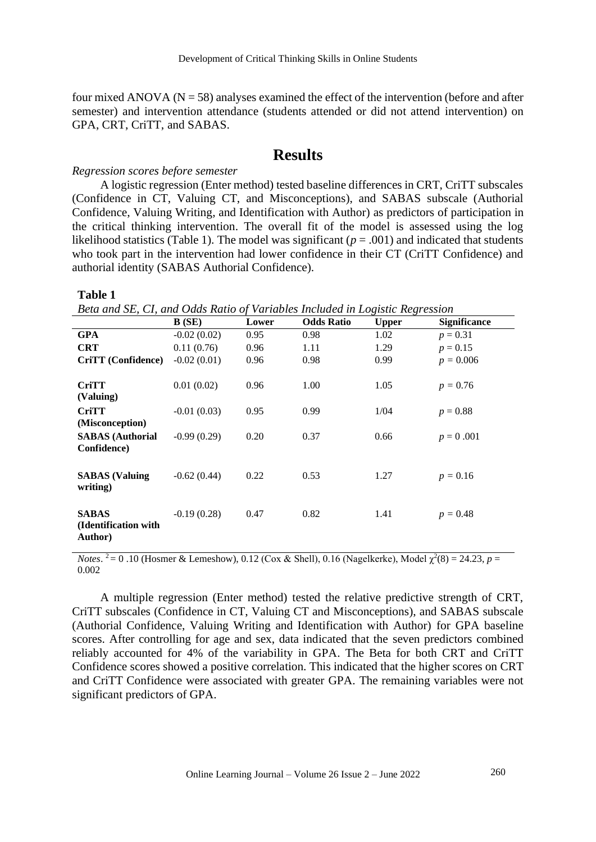four mixed ANOVA ( $N = 58$ ) analyses examined the effect of the intervention (before and after semester) and intervention attendance (students attended or did not attend intervention) on GPA, CRT, CriTT, and SABAS.

# **Results**

#### *Regression scores before semester*

A logistic regression (Enter method) tested baseline differences in CRT, CriTT subscales (Confidence in CT, Valuing CT, and Misconceptions), and SABAS subscale (Authorial Confidence, Valuing Writing, and Identification with Author) as predictors of participation in the critical thinking intervention. The overall fit of the model is assessed using the log likelihood statistics (Table 1). The model was significant ( $p = .001$ ) and indicated that students who took part in the intervention had lower confidence in their CT (CriTT Confidence) and authorial identity (SABAS Authorial Confidence).

#### **Table 1**

*Beta and SE, CI, and Odds Ratio of Variables Included in Logistic Regression*

|                         | B(SE)         | Lower | <b>Odds Ratio</b> | ິ<br>$\cdot$<br><b>Upper</b> | <b>Significance</b> |
|-------------------------|---------------|-------|-------------------|------------------------------|---------------------|
| <b>GPA</b>              | $-0.02(0.02)$ | 0.95  | 0.98              | 1.02                         | $p = 0.31$          |
| <b>CRT</b>              | 0.11(0.76)    | 0.96  | 1.11              | 1.29                         | $p = 0.15$          |
| CriTT (Confidence)      | $-0.02(0.01)$ | 0.96  | 0.98              | 0.99                         | $p = 0.006$         |
|                         |               |       |                   |                              |                     |
| <b>CriTT</b>            | 0.01(0.02)    | 0.96  | 1.00              | 1.05                         | $p = 0.76$          |
| (Valuing)               |               |       |                   |                              |                     |
| <b>CriTT</b>            | $-0.01(0.03)$ | 0.95  | 0.99              | 1/04                         | $p = 0.88$          |
| (Misconception)         |               |       |                   |                              |                     |
| <b>SABAS</b> (Authorial | $-0.99(0.29)$ | 0.20  | 0.37              | 0.66                         | $p = 0.001$         |
| Confidence)             |               |       |                   |                              |                     |
|                         |               |       |                   |                              |                     |
| <b>SABAS</b> (Valuing   | $-0.62(0.44)$ | 0.22  | 0.53              | 1.27                         | $p = 0.16$          |
| writing)                |               |       |                   |                              |                     |
|                         |               |       |                   |                              |                     |
| <b>SABAS</b>            | $-0.19(0.28)$ | 0.47  | 0.82              | 1.41                         | $p = 0.48$          |
| (Identification with    |               |       |                   |                              |                     |
| Author)                 |               |       |                   |                              |                     |

*Notes*. <sup>2</sup> = 0.10 (Hosmer & Lemeshow), 0.12 (Cox & Shell), 0.16 (Nagelkerke), Model  $\chi^2(8) = 24.23$ , *p* = 0.002

A multiple regression (Enter method) tested the relative predictive strength of CRT, CriTT subscales (Confidence in CT, Valuing CT and Misconceptions), and SABAS subscale (Authorial Confidence, Valuing Writing and Identification with Author) for GPA baseline scores. After controlling for age and sex, data indicated that the seven predictors combined reliably accounted for 4% of the variability in GPA. The Beta for both CRT and CriTT Confidence scores showed a positive correlation. This indicated that the higher scores on CRT and CriTT Confidence were associated with greater GPA. The remaining variables were not significant predictors of GPA.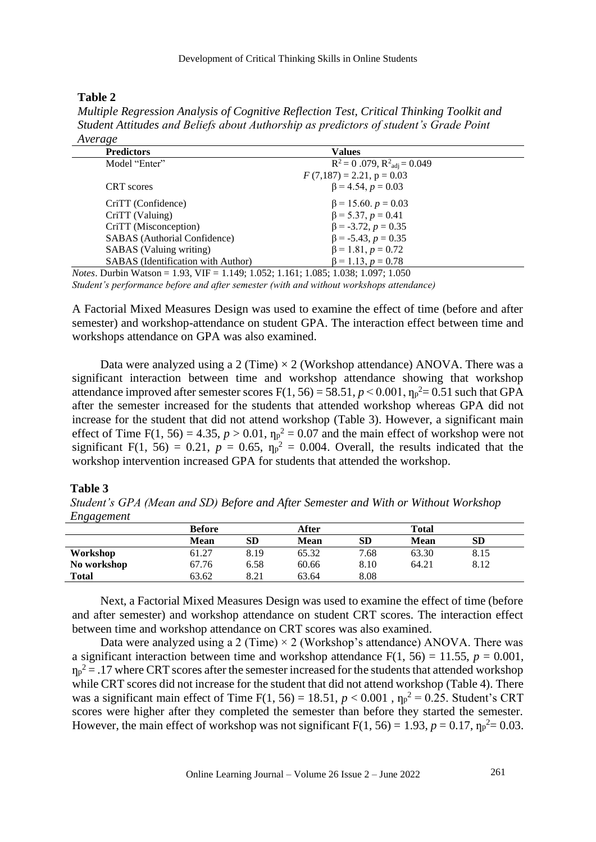## **Table 2**

*Multiple Regression Analysis of Cognitive Reflection Test, Critical Thinking Toolkit and Student Attitudes and Beliefs about Authorship as predictors of student's Grade Point Average*

| $\cdots$<br><b>Predictors</b>      | <b>Values</b>                              |  |
|------------------------------------|--------------------------------------------|--|
| Model "Enter"                      | $R^2 = 0.079$ , $R^2_{\text{adj}} = 0.049$ |  |
|                                    | $F(7,187) = 2.21$ , $p = 0.03$             |  |
| CRT scores                         | $\beta$ = 4.54, $p = 0.03$                 |  |
| CriTT (Confidence)                 | $\beta$ = 15.60. $p = 0.03$                |  |
| CriTT (Valuing)                    | $\beta$ = 5.37, p = 0.41                   |  |
| CriTT (Misconception)              | $\beta$ = -3.72, $p = 0.35$                |  |
| SABAS (Authorial Confidence)       | $\beta$ = -5.43, $p = 0.35$                |  |
| SABAS (Valuing writing)            | $\beta$ = 1.81, $p$ = 0.72                 |  |
| SABAS (Identification with Author) | $\beta = 1.13, p = 0.78$                   |  |

*Notes*. Durbin Watson = 1.93, VIF = 1.149; 1.052; 1.161; 1.085; 1.038; 1.097; 1.050 *Student's performance before and after semester (with and without workshops attendance)* 

A Factorial Mixed Measures Design was used to examine the effect of time (before and after semester) and workshop-attendance on student GPA. The interaction effect between time and workshops attendance on GPA was also examined.

Data were analyzed using a 2 (Time)  $\times$  2 (Workshop attendance) ANOVA. There was a significant interaction between time and workshop attendance showing that workshop attendance improved after semester scores  $F(1, 56) = 58.51$ ,  $p < 0.001$ ,  $n_p^2 = 0.51$  such that GPA after the semester increased for the students that attended workshop whereas GPA did not increase for the student that did not attend workshop (Table 3). However, a significant main effect of Time F(1, 56) = 4.35,  $p > 0.01$ ,  $\eta_p^2 = 0.07$  and the main effect of workshop were not significant F(1, 56) = 0.21,  $p = 0.65$ ,  $\eta_p^2 = 0.004$ . Overall, the results indicated that the workshop intervention increased GPA for students that attended the workshop.

#### **Table 3**

*Student's GPA (Mean and SD) Before and After Semester and With or Without Workshop Engagement*

| ິບ           |               |      |             |           |             |              |  |
|--------------|---------------|------|-------------|-----------|-------------|--------------|--|
|              | <b>Before</b> |      | After       |           |             | <b>Total</b> |  |
|              | <b>Mean</b>   | SD   | <b>Mean</b> | <b>SD</b> | <b>Mean</b> | <b>SD</b>    |  |
| Workshop     | 61.27         | 8.19 | 65.32       | 7.68      | 63.30       | 8.15         |  |
| No workshop  | 67.76         | 6.58 | 60.66       | 8.10      | 64.21       | 8.12         |  |
| <b>Total</b> | 63.62         | 8.21 | 63.64       | 8.08      |             |              |  |
|              |               |      |             |           |             |              |  |

Next, a Factorial Mixed Measures Design was used to examine the effect of time (before and after semester) and workshop attendance on student CRT scores. The interaction effect between time and workshop attendance on CRT scores was also examined.

Data were analyzed using a 2 (Time)  $\times$  2 (Workshop's attendance) ANOVA. There was a significant interaction between time and workshop attendance  $F(1, 56) = 11.55$ ,  $p = 0.001$ ,  $n_p^2$  = .17 where CRT scores after the semester increased for the students that attended workshop while CRT scores did not increase for the student that did not attend workshop (Table 4). There was a significant main effect of Time F(1, 56) = 18.51,  $p < 0.001$ ,  $np^2 = 0.25$ . Student's CRT scores were higher after they completed the semester than before they started the semester. However, the main effect of workshop was not significant  $F(1, 56) = 1.93$ ,  $p = 0.17$ ,  $\eta_p^2 = 0.03$ .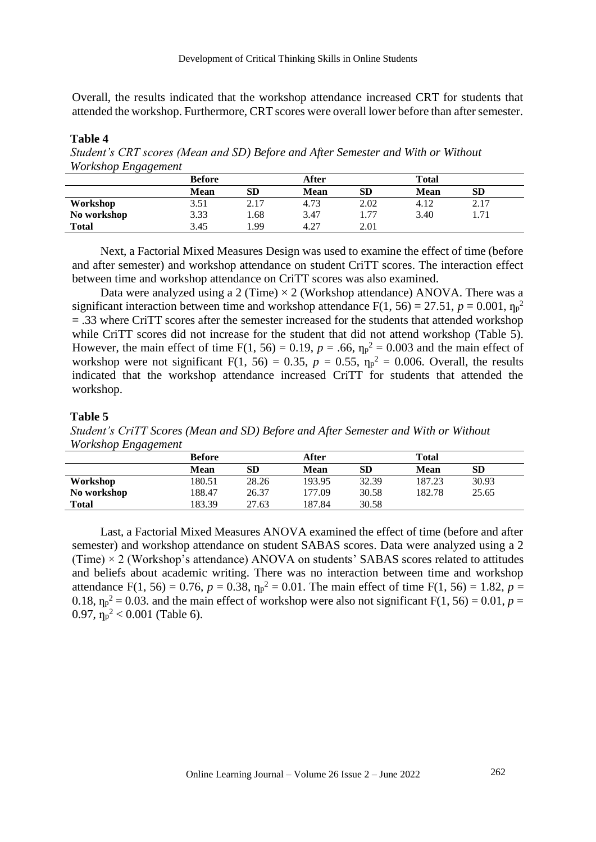Overall, the results indicated that the workshop attendance increased CRT for students that attended the workshop. Furthermore, CRT scores were overall lower before than after semester.

#### **Table 4**

*Student's CRT scores (Mean and SD) Before and After Semester and With or Without Workshop Engagement*

|              | <b>Before</b> |           | After       |      | <b>Total</b> |      |
|--------------|---------------|-----------|-------------|------|--------------|------|
|              | Mean          | <b>SD</b> | <b>Mean</b> | SD   | <b>Mean</b>  | SD   |
| Workshop     | 3.51          | 2.17      | 4.73        | 2.02 | 4.12         | 2.17 |
| No workshop  | 3.33          | 1.68      | 3.47        | 77   | 3.40         | 1.71 |
| <b>Total</b> | 3.45          | 1.99      | 4.27        | 2.01 |              |      |

Next, a Factorial Mixed Measures Design was used to examine the effect of time (before and after semester) and workshop attendance on student CriTT scores. The interaction effect between time and workshop attendance on CriTT scores was also examined.

Data were analyzed using a 2 (Time)  $\times$  2 (Workshop attendance) ANOVA. There was a significant interaction between time and workshop attendance  $F(1, 56) = 27.51$ ,  $p = 0.001$ ,  $\eta_p^2$ = .33 where CriTT scores after the semester increased for the students that attended workshop while CriTT scores did not increase for the student that did not attend workshop (Table 5). However, the main effect of time  $F(1, 56) = 0.19$ ,  $p = .66$ ,  $\eta_p^2 = 0.003$  and the main effect of workshop were not significant  $F(1, 56) = 0.35$ ,  $p = 0.55$ ,  $\eta_p^2 = 0.006$ . Overall, the results indicated that the workshop attendance increased CriTT for students that attended the workshop.

### **Table 5**

*Student's CriTT Scores (Mean and SD) Before and After Semester and With or Without Workshop Engagement*

| $\mathbf{v}$ | <b>Before</b> |       | After       |       | Total  |       |  |
|--------------|---------------|-------|-------------|-------|--------|-------|--|
|              | Mean          | SD    | <b>Mean</b> | SD    | Mean   | SD    |  |
| Workshop     | 180.51        | 28.26 | 193.95      | 32.39 | 187.23 | 30.93 |  |
| No workshop  | 188.47        | 26.37 | 177.09      | 30.58 | 182.78 | 25.65 |  |
| <b>Total</b> | 183.39        | 27.63 | 187.84      | 30.58 |        |       |  |

Last, a Factorial Mixed Measures ANOVA examined the effect of time (before and after semester) and workshop attendance on student SABAS scores. Data were analyzed using a 2 (Time)  $\times$  2 (Workshop's attendance) ANOVA on students' SABAS scores related to attitudes and beliefs about academic writing. There was no interaction between time and workshop attendance F(1, 56) = 0.76,  $p = 0.38$ ,  $\eta_p^2 = 0.01$ . The main effect of time F(1, 56) = 1.82,  $p =$ 0.18,  $\eta_p^2 = 0.03$  and the main effect of workshop were also not significant F(1, 56) = 0.01, *p* = 0.97,  $\eta_p^2$  < 0.001 (Table 6).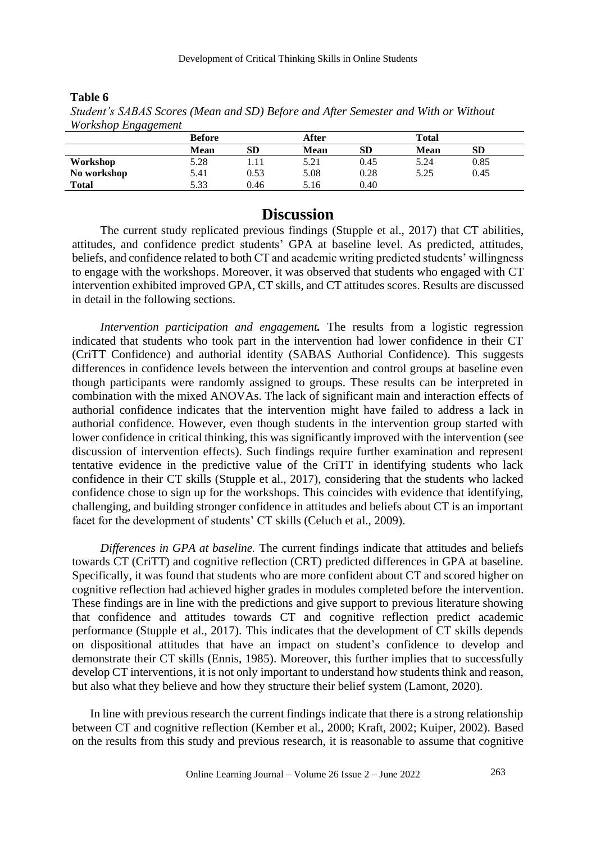| $\ldots$     |               |      |             |           |              |           |  |
|--------------|---------------|------|-------------|-----------|--------------|-----------|--|
|              | <b>Before</b> |      | After       |           | <b>Total</b> |           |  |
|              | <b>Mean</b>   | SD   | <b>Mean</b> | <b>SD</b> | <b>Mean</b>  | <b>SD</b> |  |
| Workshop     | 5.28          |      | 5.21        | 0.45      | 5.24         | 0.85      |  |
| No workshop  | 5.41          | 0.53 | 5.08        | 0.28      | 5.25         | 0.45      |  |
| <b>Total</b> | 5.33          | 0.46 | 5.16        | 0.40      |              |           |  |

**Table 6** *Student's SABAS Scores (Mean and SD) Before and After Semester and With or Without Workshop Engagement*

# **Discussion**

The current study replicated previous findings (Stupple et al., 2017) that CT abilities, attitudes, and confidence predict students' GPA at baseline level. As predicted, attitudes, beliefs, and confidence related to both CT and academic writing predicted students' willingness to engage with the workshops. Moreover, it was observed that students who engaged with CT intervention exhibited improved GPA, CT skills, and CT attitudes scores. Results are discussed in detail in the following sections.

*Intervention participation and engagement.* The results from a logistic regression indicated that students who took part in the intervention had lower confidence in their CT (CriTT Confidence) and authorial identity (SABAS Authorial Confidence). This suggests differences in confidence levels between the intervention and control groups at baseline even though participants were randomly assigned to groups. These results can be interpreted in combination with the mixed ANOVAs. The lack of significant main and interaction effects of authorial confidence indicates that the intervention might have failed to address a lack in authorial confidence. However, even though students in the intervention group started with lower confidence in critical thinking, this was significantly improved with the intervention (see discussion of intervention effects). Such findings require further examination and represent tentative evidence in the predictive value of the CriTT in identifying students who lack confidence in their CT skills (Stupple et al., 2017), considering that the students who lacked confidence chose to sign up for the workshops. This coincides with evidence that identifying, challenging, and building stronger confidence in attitudes and beliefs about CT is an important facet for the development of students' CT skills (Celuch et al., 2009).

*Differences in GPA at baseline.* The current findings indicate that attitudes and beliefs towards CT (CriTT) and cognitive reflection (CRT) predicted differences in GPA at baseline. Specifically, it was found that students who are more confident about CT and scored higher on cognitive reflection had achieved higher grades in modules completed before the intervention. These findings are in line with the predictions and give support to previous literature showing that confidence and attitudes towards CT and cognitive reflection predict academic performance (Stupple et al., 2017). This indicates that the development of CT skills depends on dispositional attitudes that have an impact on student's confidence to develop and demonstrate their CT skills (Ennis, 1985). Moreover, this further implies that to successfully develop CT interventions, it is not only important to understand how students think and reason, but also what they believe and how they structure their belief system (Lamont, 2020).

 In line with previous research the current findings indicate that there is a strong relationship between CT and cognitive reflection (Kember et al., 2000; Kraft, 2002; Kuiper, 2002). Based on the results from this study and previous research, it is reasonable to assume that cognitive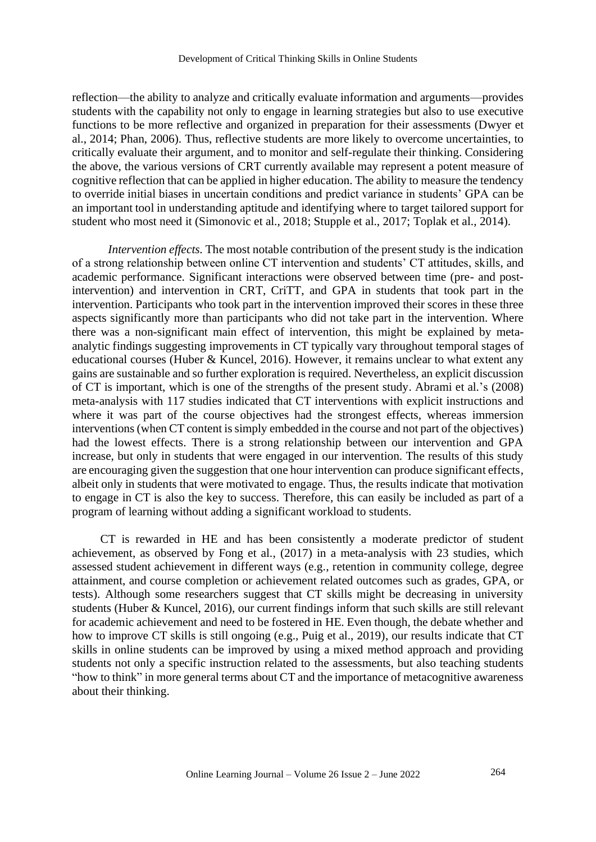#### Development of Critical Thinking Skills in Online Students

reflection—the ability to analyze and critically evaluate information and arguments—provides students with the capability not only to engage in learning strategies but also to use executive functions to be more reflective and organized in preparation for their assessments (Dwyer et al., 2014; Phan, 2006). Thus, reflective students are more likely to overcome uncertainties, to critically evaluate their argument, and to monitor and self-regulate their thinking. Considering the above, the various versions of CRT currently available may represent a potent measure of cognitive reflection that can be applied in higher education. The ability to measure the tendency to override initial biases in uncertain conditions and predict variance in students' GPA can be an important tool in understanding aptitude and identifying where to target tailored support for student who most need it (Simonovic et al., 2018; Stupple et al., 2017; Toplak et al., 2014).

*Intervention effects.* The most notable contribution of the present study is the indication of a strong relationship between online CT intervention and students' CT attitudes, skills, and academic performance. Significant interactions were observed between time (pre- and postintervention) and intervention in CRT, CriTT, and GPA in students that took part in the intervention. Participants who took part in the intervention improved their scores in these three aspects significantly more than participants who did not take part in the intervention. Where there was a non-significant main effect of intervention, this might be explained by metaanalytic findings suggesting improvements in CT typically vary throughout temporal stages of educational courses (Huber & Kuncel, 2016). However, it remains unclear to what extent any gains are sustainable and so further exploration is required. Nevertheless, an explicit discussion of CT is important, which is one of the strengths of the present study. Abrami et al.'s (2008) meta-analysis with 117 studies indicated that CT interventions with explicit instructions and where it was part of the course objectives had the strongest effects, whereas immersion interventions (when CT content is simply embedded in the course and not part of the objectives) had the lowest effects. There is a strong relationship between our intervention and GPA increase, but only in students that were engaged in our intervention. The results of this study are encouraging given the suggestion that one hour intervention can produce significant effects, albeit only in students that were motivated to engage. Thus, the results indicate that motivation to engage in CT is also the key to success. Therefore, this can easily be included as part of a program of learning without adding a significant workload to students.

CT is rewarded in HE and has been consistently a moderate predictor of student achievement, as observed by Fong et al., (2017) in a meta-analysis with 23 studies, which assessed student achievement in different ways (e.g., retention in community college, degree attainment, and course completion or achievement related outcomes such as grades, GPA, or tests). Although some researchers suggest that CT skills might be decreasing in university students (Huber & Kuncel, 2016), our current findings inform that such skills are still relevant for academic achievement and need to be fostered in HE. Even though, the debate whether and how to improve CT skills is still ongoing (e.g., Puig et al., 2019), our results indicate that CT skills in online students can be improved by using a mixed method approach and providing students not only a specific instruction related to the assessments, but also teaching students "how to think" in more general terms about CT and the importance of metacognitive awareness about their thinking.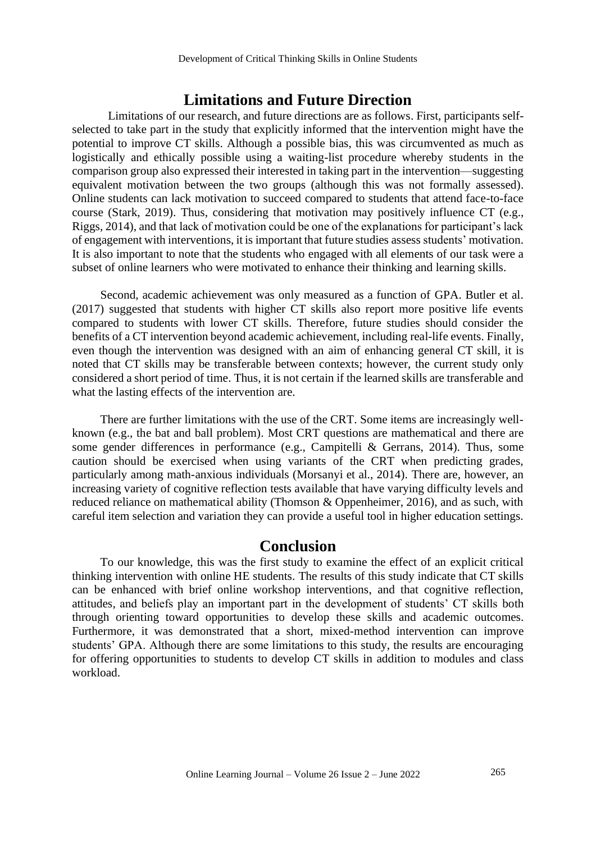## **Limitations and Future Direction**

Limitations of our research, and future directions are as follows. First, participants selfselected to take part in the study that explicitly informed that the intervention might have the potential to improve CT skills. Although a possible bias, this was circumvented as much as logistically and ethically possible using a waiting-list procedure whereby students in the comparison group also expressed their interested in taking part in the intervention—suggesting equivalent motivation between the two groups (although this was not formally assessed). Online students can lack motivation to succeed compared to students that attend face-to-face course (Stark, 2019). Thus, considering that motivation may positively influence CT (e.g., Riggs, 2014), and that lack of motivation could be one of the explanations for participant's lack of engagement with interventions, it is important that future studies assess students' motivation. It is also important to note that the students who engaged with all elements of our task were a subset of online learners who were motivated to enhance their thinking and learning skills.

Second, academic achievement was only measured as a function of GPA. Butler et al. (2017) suggested that students with higher CT skills also report more positive life events compared to students with lower CT skills. Therefore, future studies should consider the benefits of a CT intervention beyond academic achievement, including real-life events. Finally, even though the intervention was designed with an aim of enhancing general CT skill, it is noted that CT skills may be transferable between contexts; however, the current study only considered a short period of time. Thus, it is not certain if the learned skills are transferable and what the lasting effects of the intervention are.

There are further limitations with the use of the CRT. Some items are increasingly wellknown (e.g., the bat and ball problem). Most CRT questions are mathematical and there are some gender differences in performance (e.g., Campitelli & Gerrans, 2014). Thus, some caution should be exercised when using variants of the CRT when predicting grades, particularly among math-anxious individuals (Morsanyi et al., 2014). There are, however, an increasing variety of cognitive reflection tests available that have varying difficulty levels and reduced reliance on mathematical ability (Thomson & Oppenheimer, 2016), and as such, with careful item selection and variation they can provide a useful tool in higher education settings.

## **Conclusion**

To our knowledge, this was the first study to examine the effect of an explicit critical thinking intervention with online HE students. The results of this study indicate that CT skills can be enhanced with brief online workshop interventions, and that cognitive reflection, attitudes, and beliefs play an important part in the development of students' CT skills both through orienting toward opportunities to develop these skills and academic outcomes. Furthermore, it was demonstrated that a short, mixed-method intervention can improve students' GPA. Although there are some limitations to this study, the results are encouraging for offering opportunities to students to develop CT skills in addition to modules and class workload.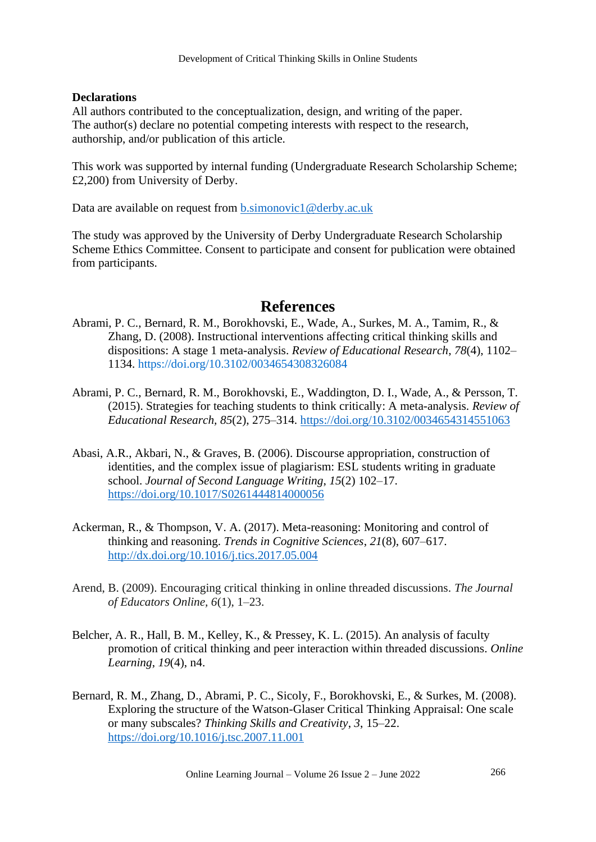## **Declarations**

All authors contributed to the conceptualization, design, and writing of the paper. The author(s) declare no potential competing interests with respect to the research, authorship, and/or publication of this article.

This work was supported by internal funding (Undergraduate Research Scholarship Scheme; £2,200) from University of Derby.

Data are available on request from **b**.simonovic1@derby.ac.uk

The study was approved by the University of Derby Undergraduate Research Scholarship Scheme Ethics Committee. Consent to participate and consent for publication were obtained from participants.

# **References**

- Abrami, P. C., Bernard, R. M., Borokhovski, E., Wade, A., Surkes, M. A., Tamim, R., & Zhang, D. (2008). Instructional interventions affecting critical thinking skills and dispositions: A stage 1 meta-analysis. *Review of Educational Research*, *78*(4), 1102– 1134. [https://doi.org/10.3102/0034654308326084](https://doi.org/10.3102%2F0034654308326084)
- Abrami, P. C., Bernard, R. M., Borokhovski, E., Waddington, D. I., Wade, A., & Persson, T. (2015). Strategies for teaching students to think critically: A meta-analysis. *Review of Educational Research, 85*(2), 275–314.<https://doi.org/10.3102/0034654314551063>
- Abasi, A.R., Akbari, N., & Graves, B. (2006). Discourse appropriation, construction of identities, and the complex issue of plagiarism: ESL students writing in graduate school. *Journal of Second Language Writing*, *15*(2) 102–17. <https://doi.org/10.1017/S0261444814000056>
- Ackerman, R., & Thompson, V. A. (2017). Meta-reasoning: Monitoring and control of thinking and reasoning. *Trends in Cognitive Sciences*, *21*(8), 607–617. <http://dx.doi.org/10.1016/j.tics.2017.05.004>
- Arend, B. (2009). Encouraging critical thinking in online threaded discussions. *The Journal of Educators Online, 6*(1), 1–23.
- Belcher, A. R., Hall, B. M., Kelley, K., & Pressey, K. L. (2015). An analysis of faculty promotion of critical thinking and peer interaction within threaded discussions. *Online Learning*, *19*(4), n4.
- Bernard, R. M., Zhang, D., Abrami, P. C., Sicoly, F., Borokhovski, E., & Surkes, M. (2008). Exploring the structure of the Watson-Glaser Critical Thinking Appraisal: One scale or many subscales? *Thinking Skills and Creativity*, *3*, 15–22. <https://doi.org/10.1016/j.tsc.2007.11.001>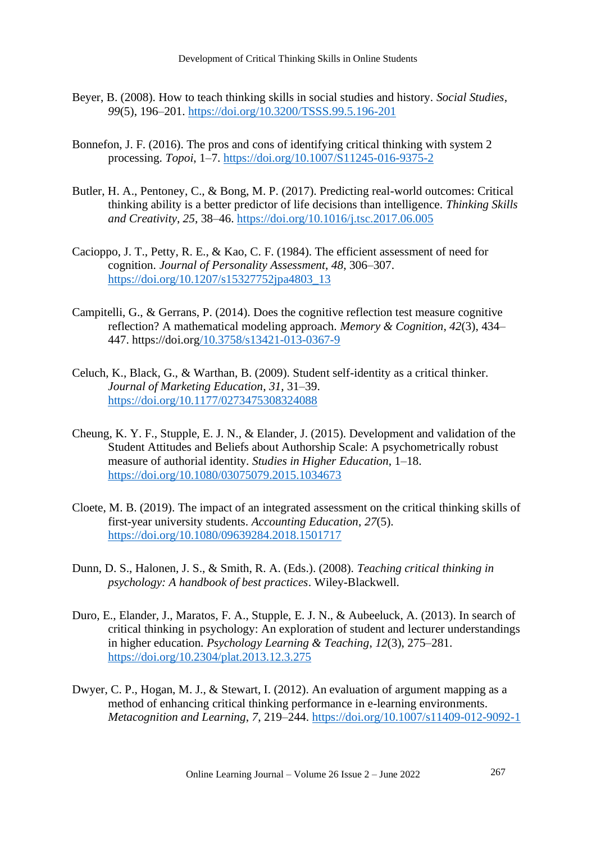- Beyer, B. (2008). How to teach thinking skills in social studies and history. *Social Studies*, *99*(5), 196–201.<https://doi.org/10.3200/TSSS.99.5.196-201>
- Bonnefon, J. F. (2016). The pros and cons of identifying critical thinking with system 2 processing. *Topoi*, 1–7.<https://doi.org/10.1007/S11245-016-9375-2>
- Butler, H. A., Pentoney, C., & Bong, M. P. (2017). Predicting real-world outcomes: Critical thinking ability is a better predictor of life decisions than intelligence. *Thinking Skills and Creativity*, *25*, 38–46.<https://doi.org/10.1016/j.tsc.2017.06.005>
- Cacioppo, J. T., Petty, R. E., & Kao, C. F. (1984). The efficient assessment of need for cognition. *Journal of Personality Assessment*, *48*, 306–307. [https://doi.org/10.1207/s15327752jpa4803\\_13](https://doi.org/10.1207/s15327752jpa4803_13)
- Campitelli, G., & Gerrans, P. (2014). Does the cognitive reflection test measure cognitive reflection? A mathematical modeling approach. *Memory & Cognition*, *42*(3), 434– 447. https://doi.or[g/10.3758/s13421-013-0367-9](doi:%2010.3758/s13421-013-0367-9)
- Celuch, K., Black, G., & Warthan, B. (2009). Student self-identity as a critical thinker. *Journal of Marketing Education*, *31*, 31–39. <https://doi.org/10.1177/0273475308324088>
- Cheung, K. Y. F., Stupple, E. J. N., & Elander, J. (2015). Development and validation of the Student Attitudes and Beliefs about Authorship Scale: A psychometrically robust measure of authorial identity. *Studies in Higher Education*, 1–18. <https://doi.org/10.1080/03075079.2015.1034673>
- Cloete, M. B. (2019). The impact of an integrated assessment on the critical thinking skills of first-year university students. *Accounting Education*, *27*(5). <https://doi.org/10.1080/09639284.2018.1501717>
- Dunn, D. S., Halonen, J. S., & Smith, R. A. (Eds.). (2008). *Teaching critical thinking in psychology: A handbook of best practices*. Wiley-Blackwell.
- Duro, E., Elander, J., Maratos, F. A., Stupple, E. J. N., & Aubeeluck, A. (2013). In search of critical thinking in psychology: An exploration of student and lecturer understandings in higher education. *Psychology Learning & Teaching*, *12*(3), 275–281. <https://doi.org/10.2304/plat.2013.12.3.275>
- Dwyer, C. P., Hogan, M. J., & Stewart, I. (2012). An evaluation of argument mapping as a method of enhancing critical thinking performance in e-learning environments. *Metacognition and Learning*, *7*, 219–244. <https://doi.org/10.1007/s11409-012-9092-1>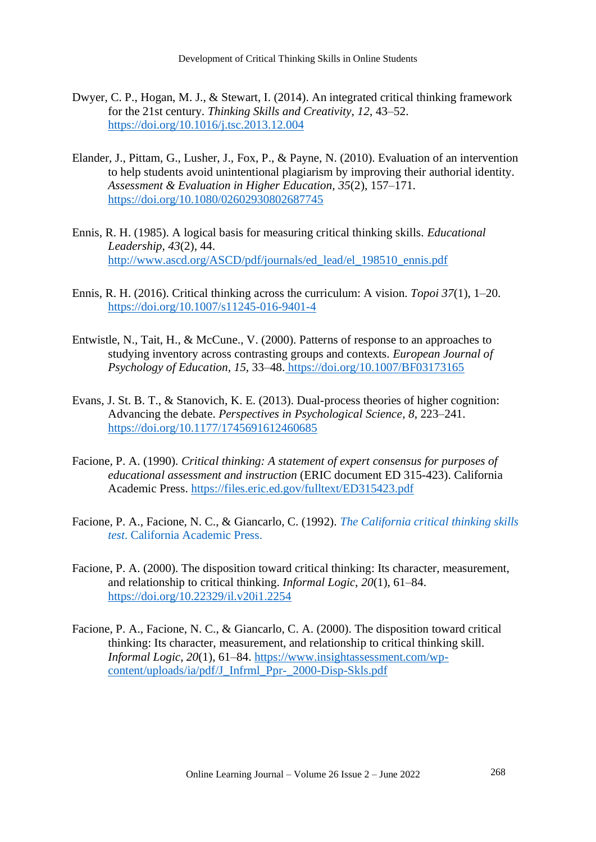- Dwyer, C. P., Hogan, M. J., & Stewart, I. (2014). An integrated critical thinking framework for the 21st century. *Thinking Skills and Creativity*, *12*, 43–52. <https://doi.org/10.1016/j.tsc.2013.12.004>
- Elander, J., Pittam, G., Lusher, J., Fox, P., & Payne, N. (2010). Evaluation of an intervention to help students avoid unintentional plagiarism by improving their authorial identity. *Assessment & Evaluation in Higher Education, 35*(2), 157–171. <https://doi.org/10.1080/02602930802687745>
- Ennis, R. H. (1985). A logical basis for measuring critical thinking skills. *Educational Leadership, 43*(2), 44. [http://www.ascd.org/ASCD/pdf/journals/ed\\_lead/el\\_198510\\_ennis.pdf](http://www.ascd.org/ASCD/pdf/journals/ed_lead/el_198510_ennis.pdf)
- Ennis, R. H. (2016). Critical thinking across the curriculum: A vision. *Topoi 37*(1), 1–20. <https://doi.org/10.1007/s11245-016-9401-4>
- Entwistle, N., Tait, H., & McCune., V. (2000). Patterns of response to an approaches to studying inventory across contrasting groups and contexts. *European Journal of Psychology of Education, 15*, 33–48. <https://doi.org/10.1007/BF03173165>
- Evans, J. St. B. T., & Stanovich, K. E. (2013). Dual-process theories of higher cognition: Advancing the debate. *Perspectives in Psychological Science*, *8*, 223–241. <https://doi.org/10.1177/1745691612460685>
- Facione, P. A. (1990). *Critical thinking: A statement of expert consensus for purposes of educational assessment and instruction* (ERIC document ED 315-423). California Academic Press. <https://files.eric.ed.gov/fulltext/ED315423.pdf>
- Facione, P. A., Facione, N. C., & Giancarlo, C. (1992). *[The California critical thinking skills](https://scholar.google.com/scholar_lookup?title=The%20California%20critical%20thinking%20skills%20test&author=P.A.%20Facione&publication_year=1992)  test*[. California Academic Press.](https://scholar.google.com/scholar_lookup?title=The%20California%20critical%20thinking%20skills%20test&author=P.A.%20Facione&publication_year=1992)
- Facione, P. A. (2000). The disposition toward critical thinking: Its character, measurement, and relationship to critical thinking. *Informal Logic*, *20*(1), 61–84. <https://doi.org/10.22329/il.v20i1.2254>
- Facione, P. A., Facione, N. C., & Giancarlo, C. A. (2000). The disposition toward critical thinking: Its character, measurement, and relationship to critical thinking skill. *Informal Logic*, *20*(1), 61–84. [https://www.insightassessment.com/wp](https://www.insightassessment.com/wp-content/uploads/ia/pdf/J_Infrml_Ppr-_2000-Disp-Skls.pdf)[content/uploads/ia/pdf/J\\_Infrml\\_Ppr-\\_2000-Disp-Skls.pdf](https://www.insightassessment.com/wp-content/uploads/ia/pdf/J_Infrml_Ppr-_2000-Disp-Skls.pdf)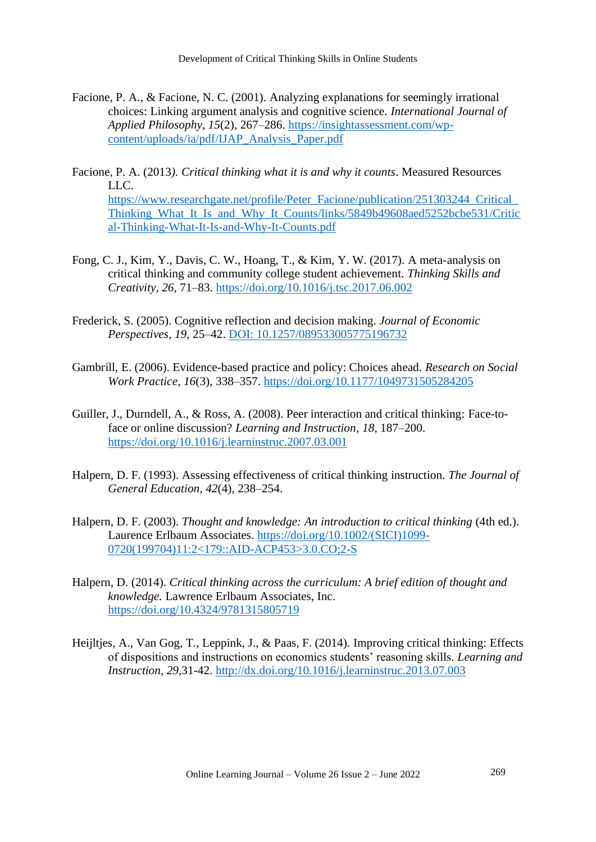- Facione, P. A., & Facione, N. C. (2001). Analyzing explanations for seemingly irrational choices: Linking argument analysis and cognitive science. *International Journal of Applied Philosophy*, *15*(2), 267–286. [https://insightassessment.com/wp](https://insightassessment.com/wp-content/uploads/ia/pdf/IJAP_Analysis_Paper.pdf)[content/uploads/ia/pdf/IJAP\\_Analysis\\_Paper.pdf](https://insightassessment.com/wp-content/uploads/ia/pdf/IJAP_Analysis_Paper.pdf)
- Facione, P. A. (2013*). Critical thinking what it is and why it counts*. Measured Resources LLC. [https://www.researchgate.net/profile/Peter\\_Facione/publication/251303244\\_Critical\\_](https://www.researchgate.net/profile/Peter_Facione/publication/251303244_Critical_Thinking_What_It_Is_and_Why_It_Counts/links/5849b49608aed5252bcbe531/Critical-Thinking-What-It-Is-and-Why-It-Counts.pdf) Thinking What It Is and Why It Counts/links/5849b49608aed5252bcbe531/Critic [al-Thinking-What-It-Is-and-Why-It-Counts.pdf](https://www.researchgate.net/profile/Peter_Facione/publication/251303244_Critical_Thinking_What_It_Is_and_Why_It_Counts/links/5849b49608aed5252bcbe531/Critical-Thinking-What-It-Is-and-Why-It-Counts.pdf)
- Fong, C. J., Kim, Y., Davis, C. W., Hoang, T., & Kim, Y. W. (2017). A meta-analysis on critical thinking and community college student achievement. *Thinking Skills and Creativity*, *26*, 71–83.<https://doi.org/10.1016/j.tsc.2017.06.002>
- Frederick, S. (2005). Cognitive reflection and decision making. *Journal of Economic Perspectives*, *19*, 25–42. [DOI: 10.1257/089533005775196732](doi:%2010.1257/089533005775196732)
- Gambrill, E. (2006). Evidence-based practice and policy: Choices ahead. *Research on Social Work Practice*, *16*(3), 338–357.<https://doi.org/10.1177/1049731505284205>
- Guiller, J., Durndell, A., & Ross, A. (2008). Peer interaction and critical thinking: Face-toface or online discussion? *Learning and Instruction*, *18*, 187–200. <https://doi.org/10.1016/j.learninstruc.2007.03.001>
- Halpern, D. F. (1993). [Assessing effectiveness of critical thinking instruction.](https://www.jstor.org/stable/27797197?seq=1#metadata_info_tab_contents) *The Journal of [General Education](https://www.jstor.org/stable/27797197?seq=1#metadata_info_tab_contents)*, *42*(4), 238–254.
- Halpern, D. F. (2003). *Thought and knowledge: An introduction to critical thinking* (4th ed.). Laurence Erlbaum Associates. [https://doi.org/10.1002/\(SICI\)1099-](https://doi.org/10.1002/(SICI)1099-0720(199704)11:2%3c179::AID-ACP453%3e3.0.CO;2-S) [0720\(199704\)11:2<179::AID-ACP453>3.0.CO;2-S](https://doi.org/10.1002/(SICI)1099-0720(199704)11:2%3c179::AID-ACP453%3e3.0.CO;2-S)
- Halpern, D. (2014). *Critical thinking across the curriculum: A brief edition of thought and knowledge.* Lawrence Erlbaum Associates, Inc. <https://doi.org/10.4324/9781315805719>
- Heijltjes, A., Van Gog, T., Leppink, J., & Paas, F. (2014). Improving critical thinking: Effects of dispositions and instructions on economics students' reasoning skills. *Learning and Instruction*, *29*,31-42.<http://dx.doi.org/10.1016/j.learninstruc.2013.07.003>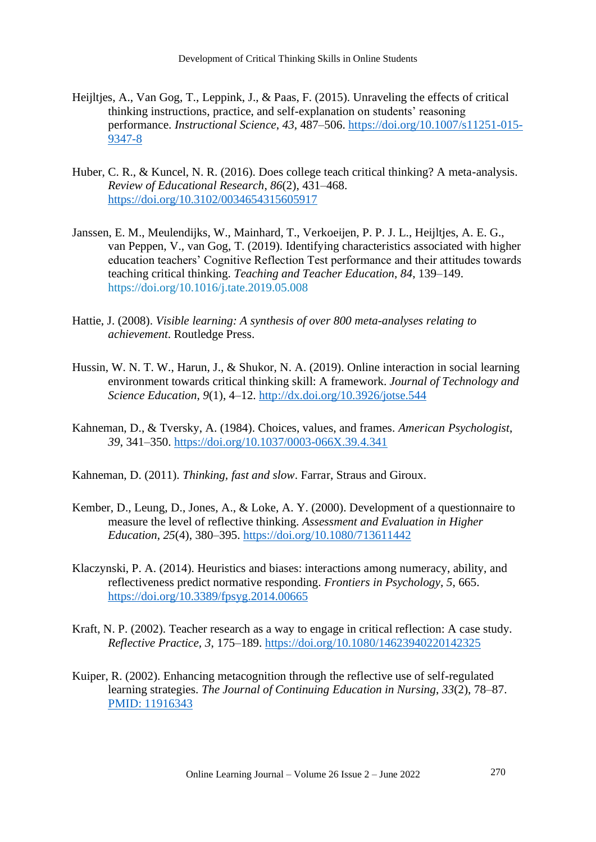- Heijltjes, A., Van Gog, T., Leppink, J., & Paas, F. (2015). Unraveling the effects of critical thinking instructions, practice, and self-explanation on students' reasoning performance. *Instructional Science*, *43*, 487–506. [https://doi.org/10.1007/s11251-015-](https://doi.org/10.1007/s11251-015-9347-8) [9347-8](https://doi.org/10.1007/s11251-015-9347-8)
- Huber, C. R., & Kuncel, N. R. (2016). Does college teach critical thinking? A meta-analysis. *Review of Educational Research*, *86*(2), 431–468. <https://doi.org/10.3102/0034654315605917>
- Janssen, E. M., Meulendijks, W., Mainhard, T., Verkoeijen, P. P. J. L., Heijltjes, A. E. G., van Peppen, V., van Gog, T. (2019). Identifying characteristics associated with higher education teachers' Cognitive Reflection Test performance and their attitudes towards teaching critical thinking. *Teaching and Teacher Education*, *84*, 139–149. <https://doi.org/10.1016/j.tate.2019.05.008>
- Hattie, J. (2008). *Visible learning: A synthesis of over 800 meta-analyses relating to achievement*. Routledge Press.
- Hussin, W. N. T. W., Harun, J., & Shukor, N. A. (2019). Online interaction in social learning environment towards critical thinking skill: A framework. *Journal of Technology and Science Education*, *9*(1), 4–12.<http://dx.doi.org/10.3926/jotse.544>
- Kahneman, D., & Tversky, A. (1984). Choices, values, and frames. *American Psychologist*, *39*, 341–350.<https://doi.org/10.1037/0003-066X.39.4.341>

Kahneman, D. (2011). *Thinking, fast and slow*. Farrar, Straus and Giroux.

- Kember, D., Leung, D., Jones, A., & Loke, A. Y. (2000). Development of a questionnaire to measure the level of reflective thinking. *Assessment and Evaluation in Higher Education*, *25*(4), 380–395.<https://doi.org/10.1080/713611442>
- Klaczynski, P. A. (2014). Heuristics and biases: interactions among numeracy, ability, and reflectiveness predict normative responding. *Frontiers in Psychology*, *5*, 665. <https://doi.org/10.3389/fpsyg.2014.00665>
- Kraft, N. P. (2002). Teacher research as a way to engage in critical reflection: A case study. *Reflective Practice, 3*, 175–189.<https://doi.org/10.1080/14623940220142325>
- Kuiper, R. (2002). Enhancing metacognition through the reflective use of self-regulated learning strategies. *The Journal of Continuing Education in Nursing*, *33*(2), 78–87. [PMID: 11916343](https://pubmed.ncbi.nlm.nih.gov/11916343/)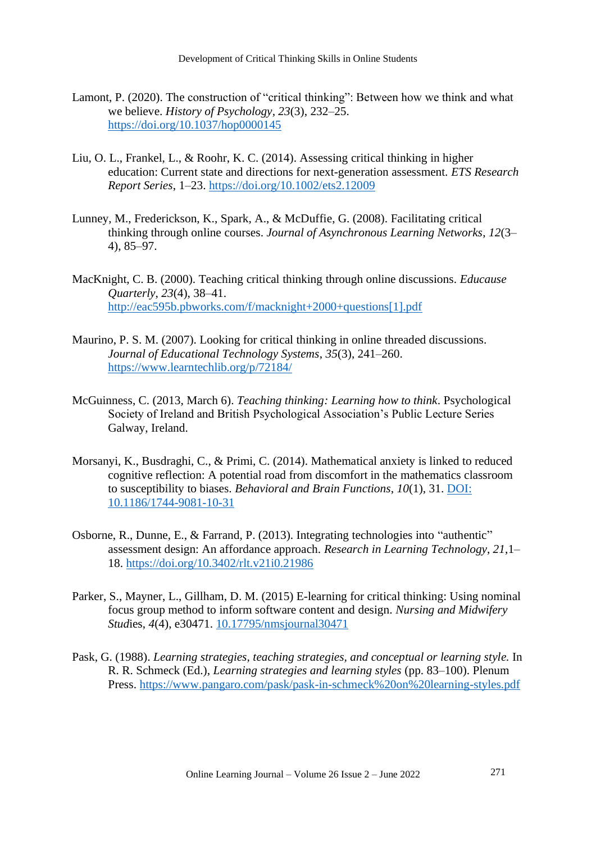Development of Critical Thinking Skills in Online Students

- Lamont, P. (2020). The construction of "critical thinking": Between how we think and what we believe. *History of Psychology, 23*(3), 232–25. <https://doi.org/10.1037/hop0000145>
- Liu, O. L., Frankel, L., & Roohr, K. C. (2014). Assessing critical thinking in higher education: Current state and directions for next-generation assessment. *ETS Research Report Series*, 1–23.<https://doi.org/10.1002/ets2.12009>
- Lunney, M., Frederickson, K., Spark, A., & McDuffie, G. (2008). Facilitating critical thinking through online courses. *Journal of Asynchronous Learning Networks*, *12*(3– 4), 85–97.
- MacKnight, C. B. (2000). Teaching critical thinking through online discussions. *Educause Quarterly*, *23*(4), 38–41. [http://eac595b.pbworks.com/f/macknight+2000+questions\[1\].pdf](http://eac595b.pbworks.com/f/macknight+2000+questions%5b1%5d.pdf)
- Maurino, P. S. M. (2007). Looking for critical thinking in online threaded discussions. *Journal of Educational Technology Systems*, *35*(3), 241–260. <https://www.learntechlib.org/p/72184/>
- McGuinness, C. (2013, March 6). *[Teaching thinking: Learning how to think](https://www.researchgate.net/publication/233592886_Teaching_Thinking_Theory_and_Practice)*. Psychological [Society of Ireland and British Psychological Association's Public Lecture Series](https://www.researchgate.net/publication/233592886_Teaching_Thinking_Theory_and_Practice)  [Galway, Ireland.](https://www.researchgate.net/publication/233592886_Teaching_Thinking_Theory_and_Practice)
- Morsanyi, K., Busdraghi, C., & Primi, C. (2014). Mathematical anxiety is linked to reduced cognitive reflection: A potential road from discomfort in the mathematics classroom to susceptibility to biases. *Behavioral and Brain Functions*, *10*(1), 31. [DOI:](doi:%2010.1186/1744-9081-10-31)  [10.1186/1744-9081-10-31](doi:%2010.1186/1744-9081-10-31)
- Osborne, R., Dunne, E., & Farrand, P. (2013). Integrating technologies into "authentic" assessment design: An affordance approach. *Research in Learning Technology*, *21*,1– 18.<https://doi.org/10.3402/rlt.v21i0.21986>
- Parker, S., Mayner, L., Gillham, D. M. (2015) E-learning for critical thinking: Using nominal focus group method to inform software content and design. *Nursing and Midwifery Stud*ies, *4*(4), e30471. [10.17795/nmsjournal30471](file:///C:/Users/10003/Desktop/CRIT%20(1)/CRIT/Ready%20for%20submission/10.17795/nmsjournal30471)
- Pask, G. (1988). *Learning strategies, teaching strategies, and conceptual or learning style.* In R. R. Schmeck (Ed.), *Learning strategies and learning styles* (pp. 83–100). Plenum Press.<https://www.pangaro.com/pask/pask-in-schmeck%20on%20learning-styles.pdf>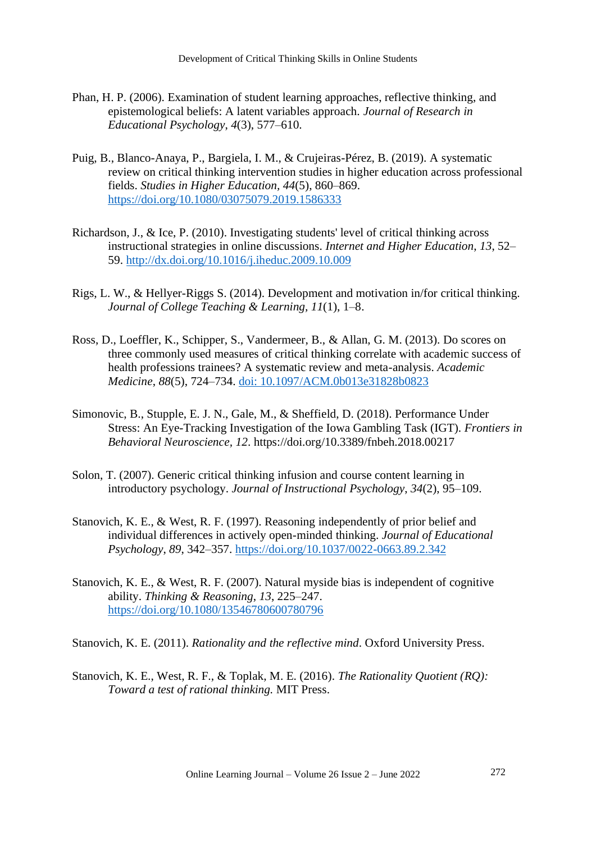- Phan, H. P. (2006). [Examination of student learning approaches, reflective thinking, and](https://eric.ed.gov/?id=EJ804121)  [epistemological beliefs: A latent variables approach.](https://eric.ed.gov/?id=EJ804121) *Journal of Research in [Educational Psychology](https://eric.ed.gov/?id=EJ804121)*, *4*(3), 577–610.
- Puig, B., Blanco-Anaya, P., Bargiela, I. M., & Crujeiras-Pérez, B. (2019). A systematic review on critical thinking intervention studies in higher education across professional fields. *Studies in Higher Education, 44*(5), 860–869. <https://doi.org/10.1080/03075079.2019.1586333>
- Richardson, J., & Ice, P. (2010). Investigating students' level of critical thinking across instructional strategies in online discussions. *Internet and Higher Education*, *13*, 52– 59.<http://dx.doi.org/10.1016/j.iheduc.2009.10.009>
- Rigs, L. W., & Hellyer-Riggs S. (2014). Development and motivation in/for critical thinking. *Journal of College Teaching & Learning, 11*(1), 1–8.
- Ross, D., Loeffler, K., Schipper, S., Vandermeer, B., & Allan, G. M. (2013). Do scores on three commonly used measures of critical thinking correlate with academic success of health professions trainees? A systematic review and meta-analysis. *Academic Medicine*, *88*(5), 724–734. [doi: 10.1097/ACM.0b013e31828b0823](doi:%2010.1097/ACM.0b013e31828b0823)
- Simonovic, B., Stupple, E. J. N., Gale, M., & Sheffield, D. (2018). Performance Under Stress: An Eye-Tracking Investigation of the Iowa Gambling Task (IGT). *Frontiers in Behavioral Neuroscience, 12*. https://doi.org/10.3389/fnbeh.2018.00217
- Solon, T. (2007). [Generic critical thinking infusion and course content learning in](https://eric.ed.gov/?id=EJ774169)  introductory psychology. *[Journal of Instructional Psychology](https://eric.ed.gov/?id=EJ774169)*, *34*(2), 95–109.
- Stanovich, K. E., & West, R. F. (1997). Reasoning independently of prior belief and individual differences in actively open-minded thinking. *Journal of Educational Psychology*, *89*, 342–357.<https://doi.org/10.1037/0022-0663.89.2.342>
- Stanovich, K. E., & West, R. F. (2007). Natural myside bias is independent of cognitive ability. *Thinking & Reasoning*, *13*, 225–247. <https://doi.org/10.1080/13546780600780796>

Stanovich, K. E. (2011). *Rationality and the reflective mind*. Oxford University Press.

Stanovich, K. E., West, R. F., & Toplak, M. E. (2016). *The Rationality Quotient (RQ): Toward a test of rational thinking.* MIT Press.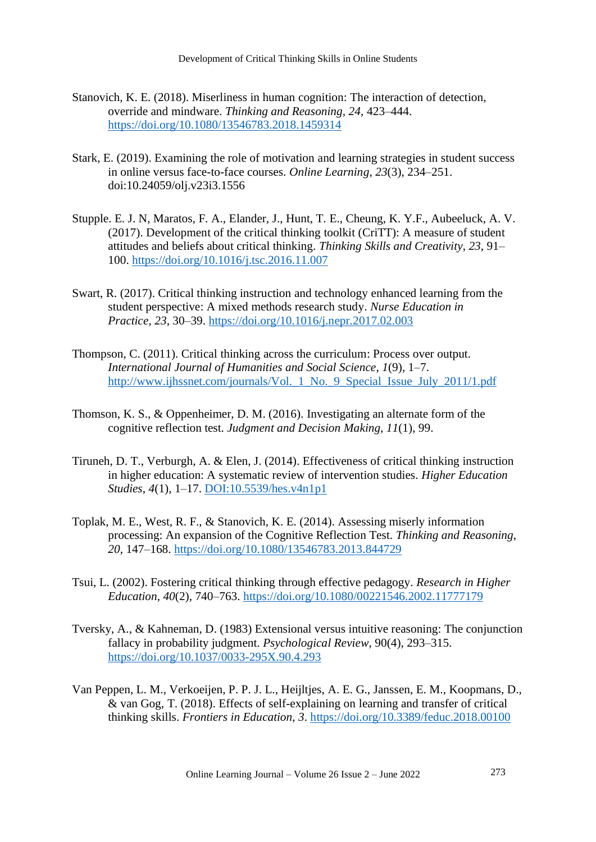- Stanovich, K. E. (2018). Miserliness in human cognition: The interaction of detection, override and mindware. *Thinking and Reasoning, 24*, 423–444. <https://doi.org/10.1080/13546783.2018.1459314>
- Stark, E. (2019). Examining the role of motivation and learning strategies in student success in online versus face-to-face courses. *Online Learning*, *23*(3), 234–251. doi:10.24059/olj.v23i3.1556
- Stupple. E. J. N, Maratos, F. A., Elander, J., Hunt, T. E., Cheung, K. Y.F., Aubeeluck, A. V. (2017). Development of the critical thinking toolkit (CriTT): A measure of student attitudes and beliefs about critical thinking. *Thinking Skills and Creativity*, *23*, 91– 100.<https://doi.org/10.1016/j.tsc.2016.11.007>
- Swart, R. (2017). Critical thinking instruction and technology enhanced learning from the student perspective: A mixed methods research study. *Nurse Education in Practice*, *23*, 30–39. <https://doi.org/10.1016/j.nepr.2017.02.003>
- Thompson, C. (2011). Critical thinking across the curriculum: Process over output. *International Journal of Humanities and Social Science*, *1*(9), 1–7. http://www.ijhssnet.com/journals/Vol. 1 No. 9 Special Issue July 2011/1.pdf
- Thomson, K. S., & Oppenheimer, D. M. (2016). [Investigating an alternate form of the](https://psycnet.apa.org/record/2016-09222-009)  cognitive reflection test. *[Judgment and Decision Making](https://psycnet.apa.org/record/2016-09222-009)*, *11*(1), 99.
- Tiruneh, D. T., Verburgh, A. & Elen, J. (2014). Effectiveness of critical thinking instruction in higher education: A systematic review of intervention studies. *Higher Education Studies*, *4*(1), 1–17. [DOI:10.5539/hes.v4n1p1](doi:10.5539/hes.v4n1p1)
- Toplak, M. E., West, R. F., & Stanovich, K. E. (2014). Assessing miserly information processing: An expansion of the Cognitive Reflection Test. *Thinking and Reasoning*, *20*, 147–168.<https://doi.org/10.1080/13546783.2013.844729>
- Tsui, L. (2002). Fostering critical thinking through effective pedagogy. *Research in Higher Education*, *40*(2), 740–763.<https://doi.org/10.1080/00221546.2002.11777179>
- Tversky, A., & Kahneman, D. (1983) Extensional versus intuitive reasoning: The conjunction fallacy in probability judgment. *Psychological Review*, 90(4), 293–315. <https://doi.org/10.1037/0033-295X.90.4.293>
- Van Peppen, L. M., Verkoeijen, P. P. J. L., Heijltjes, A. E. G., Janssen, E. M., Koopmans, D., & van Gog, T. (2018). Effects of self-explaining on learning and transfer of critical thinking skills. *Frontiers in Education*, *3*.<https://doi.org/10.3389/feduc.2018.00100>